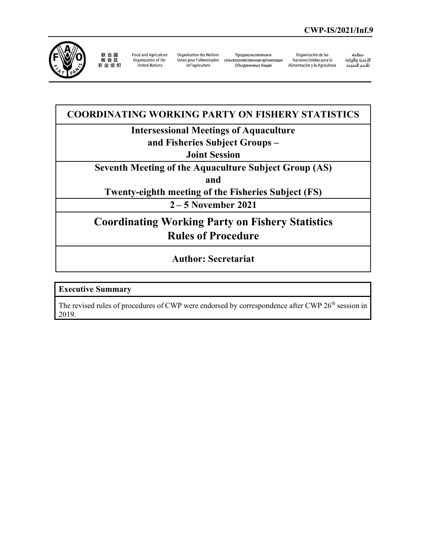

联 合 国 粮食及<br>农业组织

Food and Agriculture Organization of the United Nations

Organisation des Nations et l'agriculture

Продовольственная и Unies pour l'alimentation сельскохозяйственная организация Объединенных Наций

Organización de las Naciones Unidas para la Alimentación y la Agricultura

منظمة ستعدة<br>الأغذية والزراعة للأمم المتحدة

**COORDINATING WORKING PARTY ON FISHERY STATISTICS Intersessional Meetings of Aquaculture and Fisheries Subject Groups – Joint Session Seventh Meeting of the Aquaculture Subject Group (AS) and Twenty-eighth meeting of the Fisheries Subject (FS) 2 – 5 November 2021 Coordinating Working Party on Fishery Statistics Rules of Procedure** 

**Author: Secretariat**

**Executive Summary** 

The revised rules of procedures of CWP were endorsed by correspondence after CWP 26<sup>th</sup> session in 2019.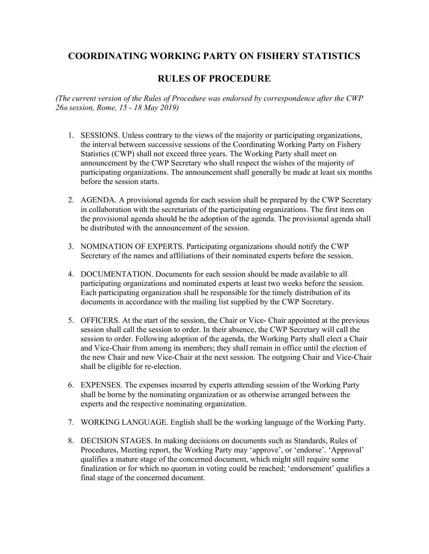## **COORDINATING WORKING PARTY ON FISHERY STATISTICS**

## **RULES OF PROCEDURE**

*(The current version of the Rules of Procedure was endorsed by correspondence after the CWP 26th session, Rome, 15 - 18 May 2019)* 

- 1. SESSIONS. Unless contrary to the views of the majority or participating organizations, the interval between successive sessions of the Coordinating Working Party on Fishery Statistics (CWP) shall not exceed three years. The Working Party shall meet on announcement by the CWP Secretary who shall respect the wishes of the majority of participating organizations. The announcement shall generally be made at least six months before the session starts.
- 2. AGENDA. A provisional agenda for each session shall be prepared by the CWP Secretary in collaboration with the secretariats of the participating organizations. The first item on the provisional agenda should be the adoption of the agenda. The provisional agenda shall be distributed with the announcement of the session.
- 3. NOMINATION OF EXPERTS. Participating organizations should notify the CWP Secretary of the names and affiliations of their nominated experts before the session.
- 4. DOCUMENTATION. Documents for each session should be made available to all participating organizations and nominated experts at least two weeks before the session. Each participating organization shall be responsible for the timely distribution of its documents in accordance with the mailing list supplied by the CWP Secretary.
- 5. OFFICERS. At the start of the session, the Chair or Vice- Chair appointed at the previous session shall call the session to order. In their absence, the CWP Secretary will call the session to order. Following adoption of the agenda, the Working Party shall elect a Chair and Vice-Chair from among its members; they shall remain in office until the election of the new Chair and new Vice-Chair at the next session. The outgoing Chair and Vice-Chair shall be eligible for re-election.
- 6. EXPENSES. The expenses incurred by experts attending session of the Working Party shall be borne by the nominating organization or as otherwise arranged between the experts and the respective nominating organization.
- 7. WORKING LANGUAGE. English shall be the working language of the Working Party.
- 8. DECISION STAGES. In making decisions on documents such as Standards, Rules of Procedures, Meeting report, the Working Party may 'approve', or 'endorse'. 'Approval' qualifies a mature stage of the concerned document, which might still require some finalization or for which no quorum in voting could be reached; 'endorsement' qualifies a final stage of the concerned document.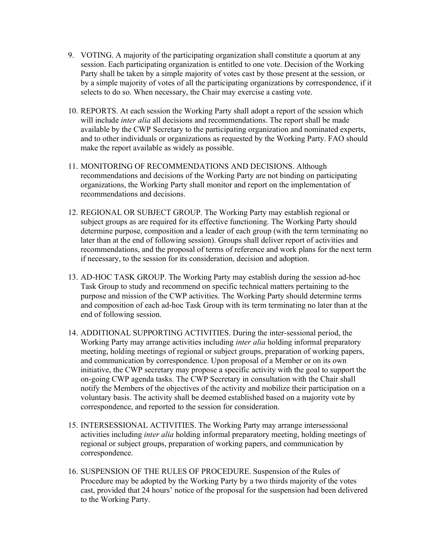- 9. VOTING. A majority of the participating organization shall constitute a quorum at any session. Each participating organization is entitled to one vote. Decision of the Working Party shall be taken by a simple majority of votes cast by those present at the session, or by a simple majority of votes of all the participating organizations by correspondence, if it selects to do so. When necessary, the Chair may exercise a casting vote.
- 10. REPORTS. At each session the Working Party shall adopt a report of the session which will include *inter alia* all decisions and recommendations. The report shall be made available by the CWP Secretary to the participating organization and nominated experts, and to other individuals or organizations as requested by the Working Party. FAO should make the report available as widely as possible.
- 11. MONITORING OF RECOMMENDATIONS AND DECISIONS. Although recommendations and decisions of the Working Party are not binding on participating organizations, the Working Party shall monitor and report on the implementation of recommendations and decisions.
- 12. REGIONAL OR SUBJECT GROUP. The Working Party may establish regional or subject groups as are required for its effective functioning. The Working Party should determine purpose, composition and a leader of each group (with the term terminating no later than at the end of following session). Groups shall deliver report of activities and recommendations, and the proposal of terms of reference and work plans for the next term if necessary, to the session for its consideration, decision and adoption.
- 13. AD-HOC TASK GROUP. The Working Party may establish during the session ad-hoc Task Group to study and recommend on specific technical matters pertaining to the purpose and mission of the CWP activities. The Working Party should determine terms and composition of each ad-hoc Task Group with its term terminating no later than at the end of following session.
- 14. ADDITIONAL SUPPORTING ACTIVITIES. During the inter-sessional period, the Working Party may arrange activities including *inter alia* holding informal preparatory meeting, holding meetings of regional or subject groups, preparation of working papers, and communication by correspondence. Upon proposal of a Member or on its own initiative, the CWP secretary may propose a specific activity with the goal to support the on-going CWP agenda tasks. The CWP Secretary in consultation with the Chair shall notify the Members of the objectives of the activity and mobilize their participation on a voluntary basis. The activity shall be deemed established based on a majority vote by correspondence, and reported to the session for consideration.
- 15. INTERSESSIONAL ACTIVITIES. The Working Party may arrange intersessional activities including *inter alia* holding informal preparatory meeting, holding meetings of regional or subject groups, preparation of working papers, and communication by correspondence.
- 16. SUSPENSION OF THE RULES OF PROCEDURE. Suspension of the Rules of Procedure may be adopted by the Working Party by a two thirds majority of the votes cast, provided that 24 hours' notice of the proposal for the suspension had been delivered to the Working Party.